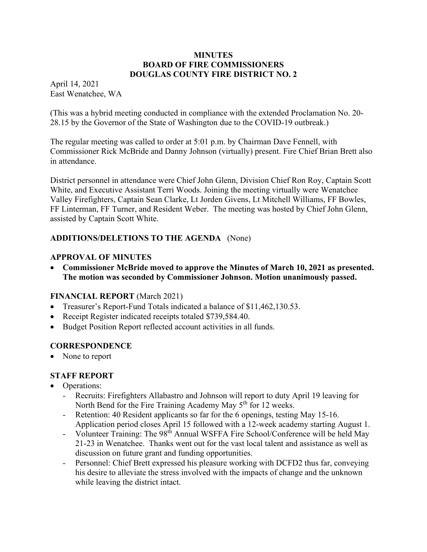#### **MINUTES BOARD OF FIRE COMMISSIONERS DOUGLAS COUNTY FIRE DISTRICT NO. 2**

April 14, 2021 East Wenatchee, WA

(This was a hybrid meeting conducted in compliance with the extended Proclamation No. 20- 28.15 by the Governor of the State of Washington due to the COVID-19 outbreak.)

The regular meeting was called to order at 5:01 p.m. by Chairman Dave Fennell, with Commissioner Rick McBride and Danny Johnson (virtually) present. Fire Chief Brian Brett also in attendance.

District personnel in attendance were Chief John Glenn, Division Chief Ron Roy, Captain Scott White, and Executive Assistant Terri Woods. Joining the meeting virtually were Wenatchee Valley Firefighters, Captain Sean Clarke, Lt Jorden Givens, Lt Mitchell Williams, FF Bowles, FF Linterman, FF Turner, and Resident Weber. The meeting was hosted by Chief John Glenn, assisted by Captain Scott White.

# **ADDITIONS/DELETIONS TO THE AGENDA** (None)

### **APPROVAL OF MINUTES**

 **Commissioner McBride moved to approve the Minutes of March 10, 2021 as presented. The motion was seconded by Commissioner Johnson. Motion unanimously passed.** 

### **FINANCIAL REPORT** (March 2021)

- Treasurer's Report-Fund Totals indicated a balance of \$11,462,130.53.
- Receipt Register indicated receipts totaled \$739,584.40.
- Budget Position Report reflected account activities in all funds.

### **CORRESPONDENCE**

None to report

### **STAFF REPORT**

- Operations:
	- Recruits: Firefighters Allabastro and Johnson will report to duty April 19 leaving for North Bend for the Fire Training Academy May 5<sup>th</sup> for 12 weeks.
	- Retention: 40 Resident applicants so far for the 6 openings, testing May 15-16. Application period closes April 15 followed with a 12-week academy starting August 1.
	- Volunteer Training: The 98<sup>th</sup> Annual WSFFA Fire School/Conference will be held May 21-23 in Wenatchee. Thanks went out for the vast local talent and assistance as well as discussion on future grant and funding opportunities.
	- Personnel: Chief Brett expressed his pleasure working with DCFD2 thus far, conveying his desire to alleviate the stress involved with the impacts of change and the unknown while leaving the district intact.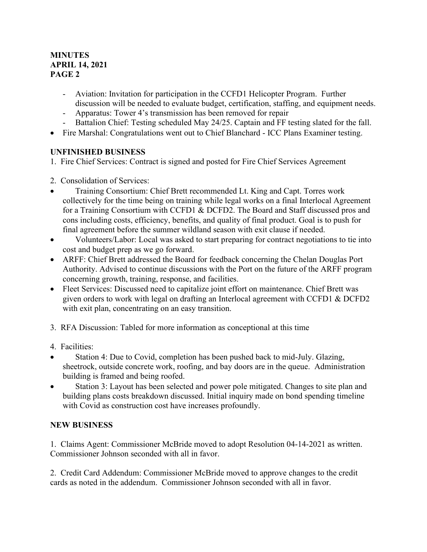## **MINUTES APRIL 14, 2021 PAGE 2**

- Aviation: Invitation for participation in the CCFD1 Helicopter Program. Further discussion will be needed to evaluate budget, certification, staffing, and equipment needs.
- Apparatus: Tower 4's transmission has been removed for repair
- Battalion Chief: Testing scheduled May 24/25. Captain and FF testing slated for the fall.
- Fire Marshal: Congratulations went out to Chief Blanchard ICC Plans Examiner testing.

## **UNFINISHED BUSINESS**

- 1. Fire Chief Services: Contract is signed and posted for Fire Chief Services Agreement
- 2. Consolidation of Services:
- Training Consortium: Chief Brett recommended Lt. King and Capt. Torres work collectively for the time being on training while legal works on a final Interlocal Agreement for a Training Consortium with CCFD1 & DCFD2. The Board and Staff discussed pros and cons including costs, efficiency, benefits, and quality of final product. Goal is to push for final agreement before the summer wildland season with exit clause if needed.
- Volunteers/Labor: Local was asked to start preparing for contract negotiations to tie into cost and budget prep as we go forward.
- ARFF: Chief Brett addressed the Board for feedback concerning the Chelan Douglas Port Authority. Advised to continue discussions with the Port on the future of the ARFF program concerning growth, training, response, and facilities.
- Fleet Services: Discussed need to capitalize joint effort on maintenance. Chief Brett was given orders to work with legal on drafting an Interlocal agreement with CCFD1 & DCFD2 with exit plan, concentrating on an easy transition.
- 3. RFA Discussion: Tabled for more information as conceptional at this time
- 4. Facilities:
- Station 4: Due to Covid, completion has been pushed back to mid-July. Glazing, sheetrock, outside concrete work, roofing, and bay doors are in the queue. Administration building is framed and being roofed.
- Station 3: Layout has been selected and power pole mitigated. Changes to site plan and building plans costs breakdown discussed. Initial inquiry made on bond spending timeline with Covid as construction cost have increases profoundly.

# **NEW BUSINESS**

1. Claims Agent: Commissioner McBride moved to adopt Resolution 04-14-2021 as written. Commissioner Johnson seconded with all in favor.

2. Credit Card Addendum: Commissioner McBride moved to approve changes to the credit cards as noted in the addendum. Commissioner Johnson seconded with all in favor.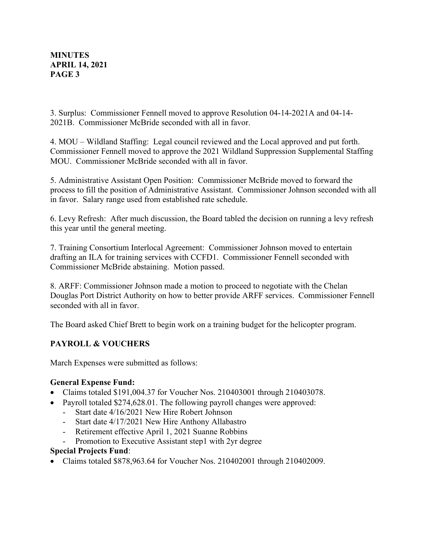### **MINUTES APRIL 14, 2021 PAGE 3**

3. Surplus: Commissioner Fennell moved to approve Resolution 04-14-2021A and 04-14- 2021B. Commissioner McBride seconded with all in favor.

4. MOU – Wildland Staffing: Legal council reviewed and the Local approved and put forth. Commissioner Fennell moved to approve the 2021 Wildland Suppression Supplemental Staffing MOU. Commissioner McBride seconded with all in favor.

5. Administrative Assistant Open Position: Commissioner McBride moved to forward the process to fill the position of Administrative Assistant. Commissioner Johnson seconded with all in favor. Salary range used from established rate schedule.

6. Levy Refresh: After much discussion, the Board tabled the decision on running a levy refresh this year until the general meeting.

7. Training Consortium Interlocal Agreement: Commissioner Johnson moved to entertain drafting an ILA for training services with CCFD1. Commissioner Fennell seconded with Commissioner McBride abstaining. Motion passed.

8. ARFF: Commissioner Johnson made a motion to proceed to negotiate with the Chelan Douglas Port District Authority on how to better provide ARFF services. Commissioner Fennell seconded with all in favor.

The Board asked Chief Brett to begin work on a training budget for the helicopter program.

# **PAYROLL & VOUCHERS**

March Expenses were submitted as follows:

### **General Expense Fund:**

- Claims totaled \$191,004.37 for Voucher Nos. 210403001 through 210403078.
- Payroll totaled \$274,628.01. The following payroll changes were approved:
	- Start date 4/16/2021 New Hire Robert Johnson
	- Start date 4/17/2021 New Hire Anthony Allabastro
	- Retirement effective April 1, 2021 Suanne Robbins
	- Promotion to Executive Assistant step1 with 2yr degree

### **Special Projects Fund**:

Claims totaled \$878,963.64 for Voucher Nos. 210402001 through 210402009.